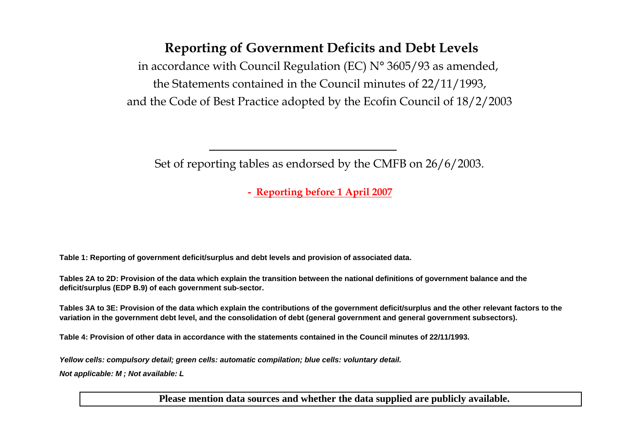# Reporting of Government Deficits and Debt Levels

in accordance with Council Regulation (EC)  $N^{\circ}$  3605/93 as amended, the Statements contained in the Council minutes of 22/11/1993,and the Code of Best Practice adopted by the Ecofin Council of 18/2/2003

Set of reporting tables as endorsed by the CMFB on 26/6/2003.

- Reporting before 1 April 2007

**Table 1: Reporting of government deficit/surplus and debt levels and provision of associated data.**

**Tables 2A to 2D: Provision of the data which explain the transition between the national definitions of government balance and the deficit/surplus (EDP B.9) of each government sub-sector.**

**Tables 3A to 3E: Provision of the data which explain the contributions of the government deficit/surplus and the other relevant factors to the variation in the government debt level, and the consolidation of debt (general government and general government subsectors).**

**Table 4: Provision of other data in accordance with the statements contained in the Council minutes of 22/11/1993.**

**Yellow cells: compulsory detail; green cells: automatic compilation; blue cells: voluntary detail.**

**Not applicable: M ; Not available: L** 

**Please mention data sources and whether the data supplied are publicly available.**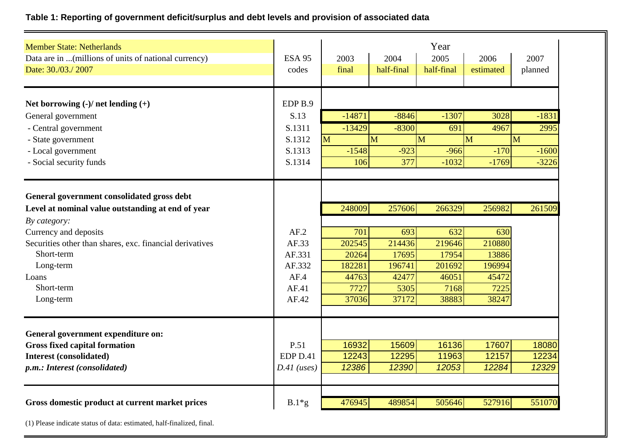## **Table 1: Reporting of government deficit/surplus and debt levels and provision of associated data**

| <b>Member State: Netherlands</b><br>Data are in (millions of units of national currency)<br>Date: 30./03./2007                                                                                                                                                      | <b>ESA 95</b><br>codes                                      | 2003<br>final                                                        | 2004<br>half-final                                                   | Year<br>2005<br>half-final                                           | 2006<br>estimated                                                    | 2007<br>planned         |
|---------------------------------------------------------------------------------------------------------------------------------------------------------------------------------------------------------------------------------------------------------------------|-------------------------------------------------------------|----------------------------------------------------------------------|----------------------------------------------------------------------|----------------------------------------------------------------------|----------------------------------------------------------------------|-------------------------|
| Net borrowing $(-)/$ net lending $(+)$                                                                                                                                                                                                                              | EDP <sub>B.9</sub>                                          |                                                                      |                                                                      |                                                                      |                                                                      |                         |
| General government                                                                                                                                                                                                                                                  | S.13                                                        | $-14871$                                                             | $-8846$                                                              | $-1307$                                                              | 3028                                                                 | $-1831$                 |
| - Central government                                                                                                                                                                                                                                                | S.1311                                                      | $-13429$                                                             | $-8300$                                                              | 691                                                                  | 4967                                                                 | 2995                    |
| - State government                                                                                                                                                                                                                                                  | S.1312                                                      | M                                                                    | M                                                                    | M                                                                    | $\overline{M}$                                                       | M                       |
| - Local government                                                                                                                                                                                                                                                  | S.1313                                                      | $-1548$                                                              | $-923$                                                               | $-966$                                                               | $-170$                                                               | $-1600$                 |
| - Social security funds                                                                                                                                                                                                                                             | S.1314                                                      | 106                                                                  | 377                                                                  | $-1032$                                                              | $-1769$                                                              | $-3226$                 |
| General government consolidated gross debt<br>Level at nominal value outstanding at end of year<br>By category:<br>Currency and deposits<br>Securities other than shares, exc. financial derivatives<br>Short-term<br>Long-term<br>Loans<br>Short-term<br>Long-term | AF.2<br>AF.33<br>AF.331<br>AF.332<br>AF.4<br>AF.41<br>AF.42 | 248009<br>701<br>202545<br>20264<br>182281<br>44763<br>7727<br>37036 | 257606<br>693<br>214436<br>17695<br>196741<br>42477<br>5305<br>37172 | 266329<br>632<br>219646<br>17954<br>201692<br>46051<br>7168<br>38883 | 256982<br>630<br>210880<br>13886<br>196994<br>45472<br>7225<br>38247 | 261509                  |
| General government expenditure on:<br><b>Gross fixed capital formation</b><br><b>Interest (consolidated)</b><br>p.m.: Interest (consolidated)                                                                                                                       | P.51<br>EDP D.41<br>$D.41$ (uses)                           | 16932<br>12243<br>12386                                              | 15609<br>12295<br>12390                                              | 16136<br>11963<br>12053                                              | 17607<br>12157<br>12284                                              | 18080<br>12234<br>12329 |
| Gross domestic product at current market prices                                                                                                                                                                                                                     | $B.1*g$                                                     | 476945                                                               | 489854                                                               | 505646                                                               | 527916                                                               | 551070                  |

(1) Please indicate status of data: estimated, half-finalized, final.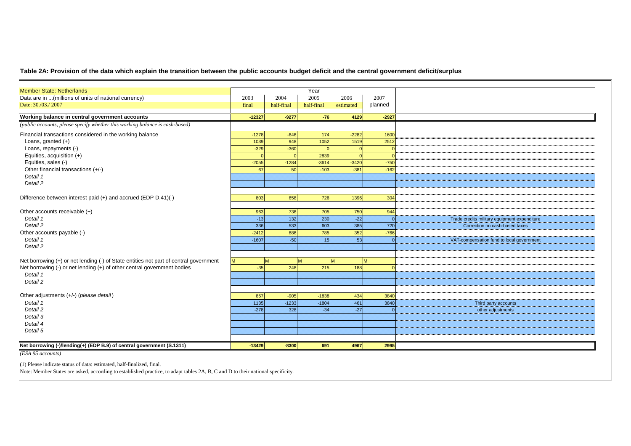#### **Table 2A: Provision of the data which explain the transition between the public accounts budget deficit and the central government deficit/surplus**

| <b>Member State: Netherlands</b>                                                      |          |            | Year       |           |          |                                              |
|---------------------------------------------------------------------------------------|----------|------------|------------|-----------|----------|----------------------------------------------|
| Data are in  (millions of units of national currency)                                 | 2003     | 2004       | 2005       | 2006      | 2007     |                                              |
| Date: 30./03./2007                                                                    | final    | half-final | half-final | estimated | planned  |                                              |
|                                                                                       |          |            |            |           |          |                                              |
| Working balance in central government accounts                                        | $-12327$ | $-9277$    | $-76$      | 4129      | $-2927$  |                                              |
| (public accounts, please specify whether this working balance is cash-based)          |          |            |            |           |          |                                              |
| Financial transactions considered in the working balance                              | $-1278$  | $-646$     | 174        | $-2282$   | 1600     |                                              |
| Loans, granted $(+)$                                                                  | 1039     | 948        | 1052       | 1519      | 2512     |                                              |
| Loans, repayments (-)                                                                 | $-329$   | $-360$     |            |           |          |                                              |
| Equities, acquisition (+)                                                             |          |            | 2839       |           |          |                                              |
| Equities, sales (-)                                                                   | $-2055$  | $-1284$    | $-3614$    | $-3420$   | $-750$   |                                              |
| Other financial transactions (+/-)                                                    | 67       | 50         | $-103$     | $-381$    | $-162$   |                                              |
| Detail 1                                                                              |          |            |            |           |          |                                              |
| Detail 2                                                                              |          |            |            |           |          |                                              |
|                                                                                       |          |            |            |           |          |                                              |
| Difference between interest paid (+) and accrued (EDP D.41)(-)                        | 803      | 658        | 726        | 1396      | 304      |                                              |
|                                                                                       |          |            |            |           |          |                                              |
| Other accounts receivable (+)                                                         | 963      | 736        | 705        | 750       | 944      |                                              |
| Detail 1                                                                              | $-13$    | 132        | 230        | $-22$     | $\Omega$ | Trade credits military equipment expenditure |
| Detail 2                                                                              | 336      | 533        | 603        | 385       | 720      | Correction on cash-based taxes               |
| Other accounts payable (-)                                                            | $-2412$  | 886        | 785        | 352       | $-766$   |                                              |
| Detail 1                                                                              | $-1607$  | $-50$      | 15         | 53        |          | VAT-compensation fund to local government    |
| Detail 2                                                                              |          |            |            |           |          |                                              |
|                                                                                       |          |            |            |           |          |                                              |
| Net borrowing (+) or net lending (-) of State entities not part of central government |          | M          |            | M         | M        |                                              |
| Net borrowing (-) or net lending (+) of other central government bodies               | $-35$    | 248        | 215        | 188       |          |                                              |
| Detail 1                                                                              |          |            |            |           |          |                                              |
| Detail 2                                                                              |          |            |            |           |          |                                              |
|                                                                                       |          |            |            |           |          |                                              |
| Other adjustments (+/-) (please detail)                                               | 857      | $-905$     | $-1838$    | 434       | 3840     |                                              |
| Detail 1                                                                              | 1135     | $-1233$    | $-1804$    | 461       | 3840     | Third party accounts                         |
| Detail 2                                                                              | $-278$   | 328        | $-34$      | $-27$     | $\Omega$ | other adjustments                            |
| Detail 3                                                                              |          |            |            |           |          |                                              |
| Detail 4                                                                              |          |            |            |           |          |                                              |
| Detail 5                                                                              |          |            |            |           |          |                                              |
|                                                                                       |          |            |            |           |          |                                              |
| Net borrowing (-)/lending(+) (EDP B.9) of central government (S.1311)                 | $-13429$ | $-8300$    | 691        | 4967      | 2995     |                                              |

*(ESA 95 accounts)*

(1) Please indicate status of data: estimated, half-finalized, final.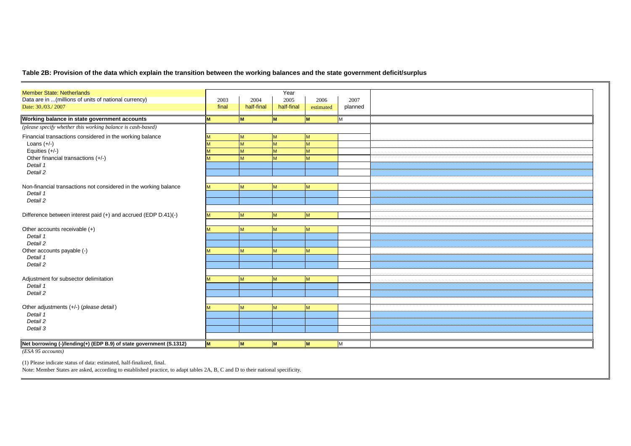### **Table 2B: Provision of the data which explain the transition between the working balances and the state government deficit/surplus**

| <b>Member State: Netherlands</b>                                    |       |            | Year       |           |         |
|---------------------------------------------------------------------|-------|------------|------------|-----------|---------|
| Data are in  (millions of units of national currency)               | 2003  | 2004       | 2005       | 2006      | 2007    |
| Date: 30./03./2007                                                  | final | half-final | half-final | estimated | planned |
| Working balance in state government accounts                        | M     | M          | M          | <b>M</b>  | M       |
| (please specify whether this working balance is cash-based)         |       |            |            |           |         |
| Financial transactions considered in the working balance            | M     | M          | M          | <b>M</b>  |         |
| Loans $(+/-)$                                                       | M     | M          | M          | M         |         |
| Equities (+/-)                                                      | M     | M          | M          | <b>M</b>  |         |
| Other financial transactions (+/-)                                  | M     | M          | M          | M         |         |
| Detail 1                                                            |       |            |            |           |         |
| Detail 2                                                            |       |            |            |           |         |
|                                                                     |       |            |            |           |         |
| Non-financial transactions not considered in the working balance    | M     | M          | M          | <b>M</b>  |         |
| Detail 1                                                            |       |            |            |           |         |
| Detail 2                                                            |       |            |            |           |         |
|                                                                     |       |            |            |           |         |
| Difference between interest paid (+) and accrued (EDP D.41)(-)      | M     | M          | M          | <b>M</b>  |         |
|                                                                     |       |            |            |           |         |
|                                                                     | M     |            |            | <b>M</b>  |         |
| Other accounts receivable (+)<br>Detail 1                           |       | M          | M          |           |         |
|                                                                     |       |            |            |           |         |
| Detail 2                                                            |       |            |            |           |         |
| Other accounts payable (-)                                          | M     | M          | M          | M         |         |
| Detail 1                                                            |       |            |            |           |         |
| Detail 2                                                            |       |            |            |           |         |
|                                                                     |       |            |            |           |         |
| Adjustment for subsector delimitation                               | M     | M          | M          | <b>M</b>  |         |
| Detail 1                                                            |       |            |            |           |         |
| Detail 2                                                            |       |            |            |           |         |
|                                                                     |       |            |            |           |         |
| Other adjustments (+/-) (please detail)                             | M     | M          | M          | <b>M</b>  |         |
| Detail 1                                                            |       |            |            |           |         |
| Detail 2                                                            |       |            |            |           |         |
| Detail 3                                                            |       |            |            |           |         |
|                                                                     |       |            |            |           |         |
| Net borrowing (-)/lending(+) (EDP B.9) of state government (S.1312) | M     | M          | M          | M         | M       |
|                                                                     |       |            |            |           |         |

*(ESA 95 accounts)*

(1) Please indicate status of data: estimated, half-finalized, final.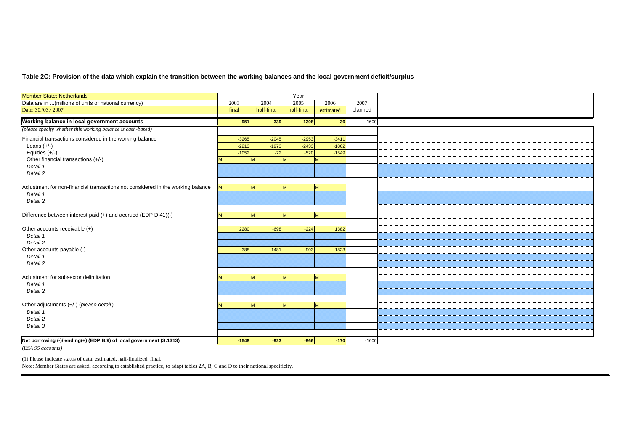### **Table 2C: Provision of the data which explain the transition between the working balances and the local government deficit/surplus**

| <b>Member State: Netherlands</b>                                                |         |            | Year       |           |         |  |
|---------------------------------------------------------------------------------|---------|------------|------------|-----------|---------|--|
| Data are in  (millions of units of national currency)                           | 2003    | 2004       | 2005       | 2006      | 2007    |  |
| Date: 30./03./2007                                                              | final   | half-final | half-final | estimated | planned |  |
|                                                                                 |         |            |            |           |         |  |
| Working balance in local government accounts                                    | $-951$  | 339        | 1308       | 36        | $-1600$ |  |
| (please specify whether this working balance is cash-based)                     |         |            |            |           |         |  |
| Financial transactions considered in the working balance                        | $-3265$ | $-2045$    | $-2953$    | $-3411$   |         |  |
| Loans $(+/-)$                                                                   | $-2213$ | $-1973$    | $-2433$    | $-1862$   |         |  |
| Equities (+/-)                                                                  | $-1052$ | $-72$      | $-520$     | $-1549$   |         |  |
| Other financial transactions (+/-)                                              |         | M          | M          | M         |         |  |
| Detail 1                                                                        |         |            |            |           |         |  |
| Detail 2                                                                        |         |            |            |           |         |  |
|                                                                                 |         |            |            |           |         |  |
| Adjustment for non-financial transactions not considered in the working balance | M       | M          | M          | M         |         |  |
| Detail 1                                                                        |         |            |            |           |         |  |
| Detail 2                                                                        |         |            |            |           |         |  |
|                                                                                 |         |            |            |           |         |  |
| Difference between interest paid (+) and accrued (EDP D.41)(-)                  |         | <b>M</b>   | M          | M         |         |  |
|                                                                                 |         |            |            |           |         |  |
| Other accounts receivable (+)                                                   | 2280    | $-698$     | $-224$     | 1382      |         |  |
| Detail 1                                                                        |         |            |            |           |         |  |
| Detail 2                                                                        |         |            |            |           |         |  |
| Other accounts payable (-)                                                      | 388     | 1481       | 903        | 1823      |         |  |
| Detail 1                                                                        |         |            |            |           |         |  |
| Detail 2                                                                        |         |            |            |           |         |  |
|                                                                                 |         |            |            |           |         |  |
| Adjustment for subsector delimitation                                           |         | M          | M          | M         |         |  |
| Detail 1                                                                        |         |            |            |           |         |  |
| Detail 2                                                                        |         |            |            |           |         |  |
| Other adjustments (+/-) (please detail)                                         |         | M          |            |           |         |  |
| Detail 1                                                                        |         |            | M          | M         |         |  |
| Detail 2                                                                        |         |            |            |           |         |  |
| Detail 3                                                                        |         |            |            |           |         |  |
|                                                                                 |         |            |            |           |         |  |
|                                                                                 |         |            |            |           |         |  |
| Net borrowing (-)/lending(+) (EDP B.9) of local government (S.1313)             | $-1548$ | $-923$     | $-966$     | $-170$    | $-1600$ |  |
| (ESA 95 accounts)                                                               |         |            |            |           |         |  |

(1) Please indicate status of data: estimated, half-finalized, final.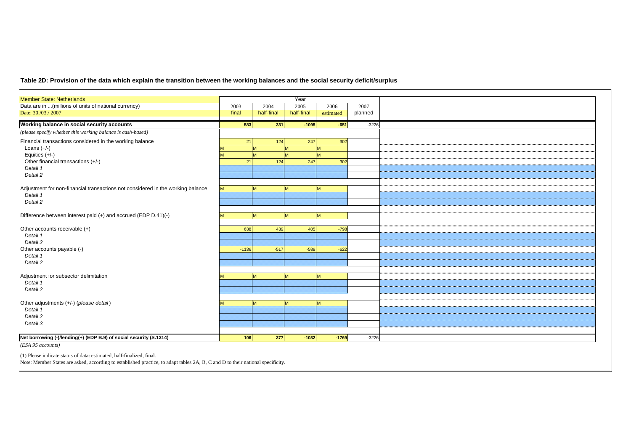### **Table 2D: Provision of the data which explain the transition between the working balances and the social security deficit/surplus**

| <b>Member State: Netherlands</b>                                                |         |            | Year       |           |         |  |
|---------------------------------------------------------------------------------|---------|------------|------------|-----------|---------|--|
| Data are in  (millions of units of national currency)                           | 2003    | 2004       | 2005       | 2006      | 2007    |  |
| Date: 30./03./2007                                                              | final   | half-final | half-final | estimated | planned |  |
| Working balance in social security accounts                                     | 583     | 331        | $-1095$    | $-651$    | $-3226$ |  |
| (please specify whether this working balance is cash-based)                     |         |            |            |           |         |  |
| Financial transactions considered in the working balance                        | 21      | 124        | 247        | 302       |         |  |
| Loans $(+/-)$                                                                   |         | M          | M          |           |         |  |
| Equities $(+/-)$                                                                |         | M          | M          | M         |         |  |
| Other financial transactions (+/-)                                              | 21      | 124        | 247        | 302       |         |  |
| Detail 1                                                                        |         |            |            |           |         |  |
| Detail 2                                                                        |         |            |            |           |         |  |
|                                                                                 |         |            |            |           |         |  |
| Adjustment for non-financial transactions not considered in the working balance | M.      | M          | M          | M         |         |  |
| Detail 1                                                                        |         |            |            |           |         |  |
| Detail 2                                                                        |         |            |            |           |         |  |
|                                                                                 |         |            |            |           |         |  |
| Difference between interest paid (+) and accrued (EDP D.41)(-)                  |         | M          | M          | M         |         |  |
|                                                                                 |         |            |            |           |         |  |
| Other accounts receivable (+)                                                   | 638     | 439        | 405        | $-798$    |         |  |
| Detail 1                                                                        |         |            |            |           |         |  |
| Detail 2                                                                        |         |            |            |           |         |  |
| Other accounts payable (-)                                                      | $-1136$ | $-517$     | $-589$     | $-622$    |         |  |
| Detail 1                                                                        |         |            |            |           |         |  |
| Detail 2                                                                        |         |            |            |           |         |  |
|                                                                                 |         |            |            |           |         |  |
| Adjustment for subsector delimitation                                           |         | M          | M          | M         |         |  |
| Detail 1                                                                        |         |            |            |           |         |  |
| Detail 2                                                                        |         |            |            |           |         |  |
| Other adjustments (+/-) (please detail)                                         |         |            |            |           |         |  |
| Detail 1                                                                        |         | M          | M          | M         |         |  |
| Detail 2                                                                        |         |            |            |           |         |  |
| Detail 3                                                                        |         |            |            |           |         |  |
|                                                                                 |         |            |            |           |         |  |
|                                                                                 |         |            |            |           |         |  |
| Net borrowing (-)/lending(+) (EDP B.9) of social security (S.1314)              | 106     | 377        | $-1032$    | $-1769$   | $-3226$ |  |

*(ESA 95 accounts)*

(1) Please indicate status of data: estimated, half-finalized, final.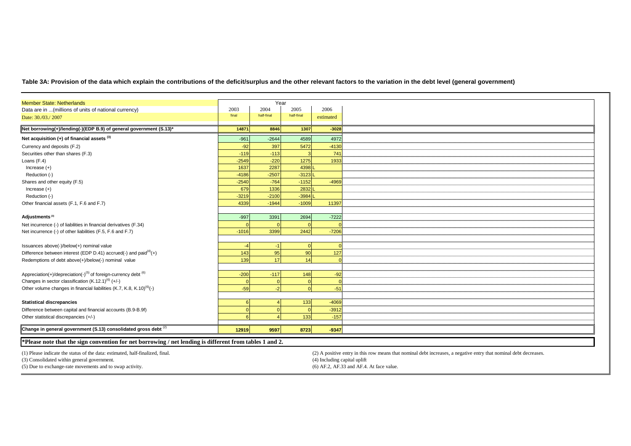**Table 3A: Provision of the data which explain the contributions of the deficit/surplus and the other relevant factors to the variation in the debt level (general government)**

|         |                                                |                                                                                                                                                             | 2006                                                  |
|---------|------------------------------------------------|-------------------------------------------------------------------------------------------------------------------------------------------------------------|-------------------------------------------------------|
|         |                                                |                                                                                                                                                             | estimated                                             |
| 14871   | 8846                                           | 1307                                                                                                                                                        | $-3028$                                               |
| $-961$  | $-2644$                                        | 4589                                                                                                                                                        | 4972                                                  |
| $-92$   | 397                                            | 5472                                                                                                                                                        | $-4130$                                               |
| $-119$  | $-113$                                         |                                                                                                                                                             | 741                                                   |
| $-2549$ | $-220$                                         | 1275                                                                                                                                                        | 1933                                                  |
| 1637    | 2287                                           | 4398                                                                                                                                                        |                                                       |
| $-4186$ | $-2507$                                        | $-3123$                                                                                                                                                     |                                                       |
| $-2540$ | $-764$                                         | $-1152$                                                                                                                                                     | $-4969$                                               |
| 679     | 1336                                           | 2832                                                                                                                                                        |                                                       |
| $-3219$ | $-2100$                                        | $-3984$                                                                                                                                                     |                                                       |
| 4339    | $-1944$                                        | $-1009$                                                                                                                                                     | 11397                                                 |
|         |                                                |                                                                                                                                                             |                                                       |
| $-997$  | 3391                                           | 2694                                                                                                                                                        | $-7222$                                               |
|         |                                                |                                                                                                                                                             |                                                       |
| $-1016$ |                                                | 2442                                                                                                                                                        | $-7206$                                               |
|         |                                                |                                                                                                                                                             |                                                       |
|         | $-1$                                           | $\sqrt{ }$                                                                                                                                                  |                                                       |
|         |                                                |                                                                                                                                                             | 127                                                   |
|         |                                                | 14                                                                                                                                                          |                                                       |
|         |                                                |                                                                                                                                                             |                                                       |
|         |                                                |                                                                                                                                                             | $-92$                                                 |
|         |                                                |                                                                                                                                                             |                                                       |
|         | -2                                             |                                                                                                                                                             | $-51$                                                 |
|         |                                                |                                                                                                                                                             |                                                       |
|         |                                                |                                                                                                                                                             | $-4069$                                               |
|         |                                                |                                                                                                                                                             | $-3912$                                               |
|         |                                                |                                                                                                                                                             | $-157$                                                |
|         |                                                |                                                                                                                                                             |                                                       |
| 12919   | 9597                                           | 8723                                                                                                                                                        | $-9347$                                               |
|         |                                                |                                                                                                                                                             |                                                       |
|         | 2003<br>final<br>143<br>139<br>$-200$<br>$-59$ | 2004<br>half-final<br>3399<br>95<br>17<br>$-117$<br>*Please note that the sign convention for net borrowing / net lending is different from tables 1 and 2. | Year<br>2005<br>half-final<br>90<br>148<br>133<br>133 |

(1) Please indicate the status of the data: estimated, half-finalized, final.

(3) Consolidated within general government.

(5) Due to exchange-rate movements and to swap activity.

 (2) A positive entry in this row means that nominal debt increases, a negative entry that nominal debt decreases. (4) Including capital uplift(6) AF.2, AF.33 and AF.4. At face value.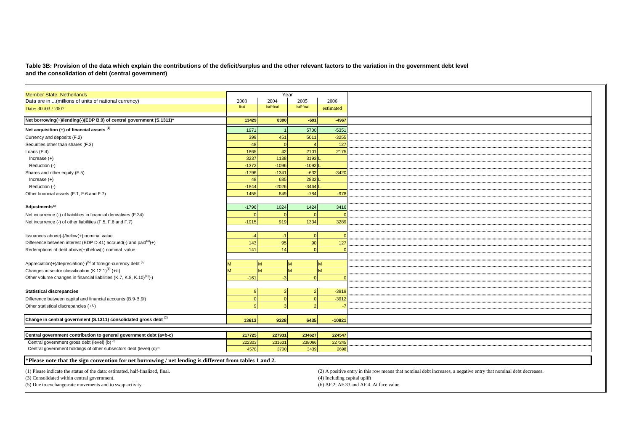Table 3B: Provision of the data which explain the contributions of the deficit/surplus and the other relevant factors to the variation in the government debt level<br>and the consolidation of debt (central government)

| <b>Member State: Netherlands</b>                                                                        |         |            | Year       |                                                                                                                   |
|---------------------------------------------------------------------------------------------------------|---------|------------|------------|-------------------------------------------------------------------------------------------------------------------|
| Data are in  (millions of units of national currency)                                                   | 2003    | 2004       | 2005       | 2006                                                                                                              |
| Date: 30./03./2007                                                                                      | final   | half-final | half-final | estimated                                                                                                         |
| Net borrowing(+)/lending(-)(EDP B.9) of central government (S.1311)*                                    | 13429   | 8300       | $-691$     | $-4967$                                                                                                           |
|                                                                                                         |         |            |            |                                                                                                                   |
| Net acquisition $(+)$ of financial assets $(3)$                                                         | 1971    |            | 5700       | $-5351$                                                                                                           |
| Currency and deposits (F.2)                                                                             | 399     | 451        | 5011       | $-3255$                                                                                                           |
| Securities other than shares (F.3)                                                                      | 48      | $\Omega$   |            | 127                                                                                                               |
| Loans (F.4)                                                                                             | 1865    | 42         | 2101       | 2175                                                                                                              |
| Increase $(+)$                                                                                          | 3237    | 1138       | 3193       |                                                                                                                   |
| Reduction (-)                                                                                           | $-1372$ | $-1096$    | $-1092$    |                                                                                                                   |
| Shares and other equity (F.5)                                                                           | $-1796$ | $-1341$    | $-632$     | $-3420$                                                                                                           |
| Increase $(+)$                                                                                          | 48      | 685        | 2832       |                                                                                                                   |
| Reduction (-)                                                                                           | $-1844$ | $-2026$    | $-3464$    |                                                                                                                   |
| Other financial assets (F.1, F.6 and F.7)                                                               | 1455    | 849        | $-784$     | $-978$                                                                                                            |
|                                                                                                         |         |            |            |                                                                                                                   |
| Adjustments <sup>(3)</sup>                                                                              | $-1796$ | 1024       | 1424       | 3416                                                                                                              |
| Net incurrence (-) of liabilities in financial derivatives (F.34)                                       |         |            | $\Omega$   |                                                                                                                   |
| Net incurrence (-) of other liabilities (F.5, F.6 and F.7)                                              | $-1915$ | 919        | 1334       | 3289                                                                                                              |
|                                                                                                         |         |            |            |                                                                                                                   |
| Issuances above(-)/below(+) nominal value                                                               |         | $-1$       | $\cap$     |                                                                                                                   |
| Difference between interest (EDP D.41) accrued(-) and paid $(4)$ (+)                                    | 143     | 95         | 90         | 127                                                                                                               |
| Redemptions of debt above(+)/below(-) nominal value                                                     | 141     | 14         |            |                                                                                                                   |
|                                                                                                         |         |            |            |                                                                                                                   |
| Appreciation(+)/depreciation(-) <sup>(5)</sup> of foreign-currency debt <sup>(6)</sup>                  |         | M          | <b>M</b>   | <b>IM</b>                                                                                                         |
| Changes in sector classification (K.12.1) <sup>(6)</sup> (+/-)                                          |         |            | M          | M                                                                                                                 |
| Other volume changes in financial liabilities (K.7, K.8, K.10) <sup>(6)</sup> (-)                       | $-161$  | $-3$       | $\Omega$   |                                                                                                                   |
|                                                                                                         |         |            |            |                                                                                                                   |
| <b>Statistical discrepancies</b>                                                                        | c       |            | 2          | $-3919$                                                                                                           |
| Difference between capital and financial accounts (B.9-B.9f)                                            |         |            |            | $-3912$                                                                                                           |
| Other statistical discrepancies (+/-)                                                                   |         |            |            |                                                                                                                   |
|                                                                                                         |         |            |            |                                                                                                                   |
| Change in central government (S.1311) consolidated gross debt (2)                                       | 13613   | 9328       | 6435       | $-1082$                                                                                                           |
|                                                                                                         |         |            |            |                                                                                                                   |
|                                                                                                         |         |            |            |                                                                                                                   |
| Central government contribution to general government debt (a=b-c)                                      | 217725  | 227931     | 234627     | 224547                                                                                                            |
| Central government gross debt (level) (b) (3)                                                           | 222303  | 231631     | 238066     | 227245                                                                                                            |
| Central government holdings of other subsectors debt (level) (c) <sup>(6)</sup>                         | 4578    | 3700       | 3439       | 2698                                                                                                              |
| *Please note that the sign convention for net borrowing / net lending is different from tables 1 and 2. |         |            |            |                                                                                                                   |
|                                                                                                         |         |            |            |                                                                                                                   |
| (1) Please indicate the status of the data: estimated, half-finalized, final.                           |         |            |            | (2) A positive entry in this row means that nominal debt increases, a negative entry that nominal debt decreases. |
| (3) Consolidated within central government.                                                             |         |            |            | (4) Including capital uplift                                                                                      |
| (5) Due to exchange-rate movements and to swap activity.                                                |         |            |            | (6) AF.2, AF.33 and AF.4. At face value.                                                                          |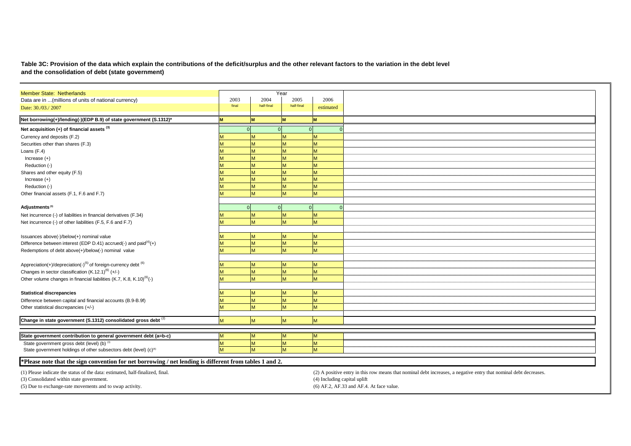#### **Table 3C: Provision of the data which explain the contributions of the deficit/surplus and the other relevant factors to the variation in the debt level and the consolidation of debt (state government)**

| <b>Member State: Netherlands</b>                                                                        |          |            | Year       |                                                                                                                   |
|---------------------------------------------------------------------------------------------------------|----------|------------|------------|-------------------------------------------------------------------------------------------------------------------|
| Data are in  (millions of units of national currency)                                                   | 2003     | 2004       | 2005       | 2006                                                                                                              |
| Date: 30./03./2007                                                                                      | final    | half-final | half-final | estimated                                                                                                         |
| Net borrowing(+)/lending(-)(EDP B.9) of state government (S.1312)*                                      |          | M          | lм         |                                                                                                                   |
| Net acquisition $(+)$ of financial assets $(3)$                                                         |          |            |            |                                                                                                                   |
|                                                                                                         |          |            |            | $\Omega$                                                                                                          |
| Currency and deposits (F.2)                                                                             |          | M          |            |                                                                                                                   |
| Securities other than shares (F.3)                                                                      |          | M          | M          | M.                                                                                                                |
| Loans (F.4)                                                                                             |          | M          | M          |                                                                                                                   |
| Increase $(+)$                                                                                          |          | M          | M          |                                                                                                                   |
| Reduction (-)                                                                                           |          | M          | N          |                                                                                                                   |
| Shares and other equity (F.5)                                                                           |          | M          | M          |                                                                                                                   |
| Increase $(+)$                                                                                          |          | M          | M          | M                                                                                                                 |
| Reduction (-)                                                                                           |          | M          | M          | M                                                                                                                 |
| Other financial assets (F.1, F.6 and F.7)                                                               |          | M          | M          | M                                                                                                                 |
|                                                                                                         |          |            |            |                                                                                                                   |
| Adjustments <sup>(3)</sup>                                                                              | $\Omega$ | $\Omega$   |            | $\Omega$<br>$\Omega$                                                                                              |
| Net incurrence (-) of liabilities in financial derivatives (F.34)                                       |          | M          | M          | Ñ                                                                                                                 |
| Net incurrence (-) of other liabilities (F.5, F.6 and F.7)                                              |          | M          | M          | M                                                                                                                 |
|                                                                                                         |          |            |            |                                                                                                                   |
| Issuances above(-)/below(+) nominal value                                                               |          | M          | M          | M                                                                                                                 |
| Difference between interest (EDP D.41) accrued(-) and paid $^{(4)}$ (+)                                 |          | M          | M          | M                                                                                                                 |
| Redemptions of debt above(+)/below(-) nominal value                                                     |          | M          | M          | M                                                                                                                 |
|                                                                                                         |          |            |            |                                                                                                                   |
| Appreciation(+)/depreciation(-) <sup>(5)</sup> of foreign-currency debt <sup>(6)</sup>                  |          | M          | M          | M                                                                                                                 |
| Changes in sector classification $(K.12.1)^{(6)} (+/-)$                                                 |          | M          | M          | M                                                                                                                 |
| Other volume changes in financial liabilities (K.7, K.8, K.10) <sup>(6)</sup> (-)                       |          | M          | M          | M                                                                                                                 |
|                                                                                                         |          |            |            |                                                                                                                   |
| <b>Statistical discrepancies</b>                                                                        |          | M          | M          | M                                                                                                                 |
| Difference between capital and financial accounts (B.9-B.9f)                                            |          | M          | M          | M                                                                                                                 |
| Other statistical discrepancies (+/-)                                                                   |          | M          | M          | M                                                                                                                 |
|                                                                                                         |          |            |            |                                                                                                                   |
| Change in state government (S.1312) consolidated gross debt (2)                                         |          | M          | M          | M                                                                                                                 |
|                                                                                                         |          |            |            |                                                                                                                   |
| State government contribution to general government debt (a=b-c)                                        |          | M          | <b>M</b>   | M                                                                                                                 |
| State government gross debt (level) (b) (3)                                                             |          | M          | M          | M                                                                                                                 |
| State government holdings of other subsectors debt (level) (c) <sup>(6)</sup>                           | M        | M          | M          | M                                                                                                                 |
|                                                                                                         |          |            |            |                                                                                                                   |
| *Please note that the sign convention for net borrowing / net lending is different from tables 1 and 2. |          |            |            |                                                                                                                   |
|                                                                                                         |          |            |            |                                                                                                                   |
| (1) Please indicate the status of the data: estimated, half-finalized, final.                           |          |            |            | (2) A positive entry in this row means that nominal debt increases, a negative entry that nominal debt decreases. |
| (3) Consolidated within state government.                                                               |          |            |            | (4) Including capital uplift                                                                                      |

(5) Due to exchange-rate movements and to swap activity.

 $(6)$  AF.2, AF.33 and AF.4. At face value.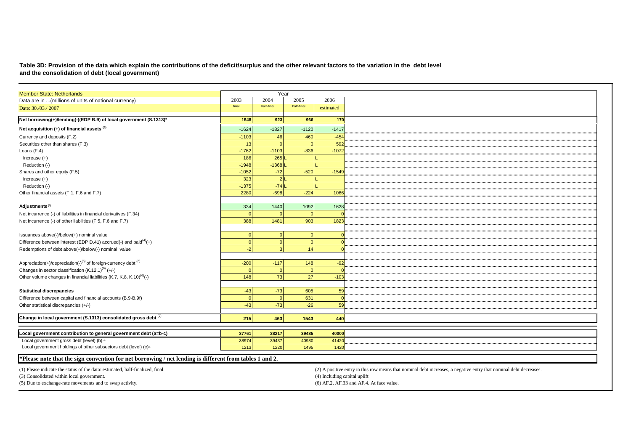#### **Table 3D: Provision of the data which explain the contributions of the deficit/surplus and the other relevant factors to the variation in the debt leveland the consolidation of debt (local government)**

| <b>Member State: Netherlands</b>                                                                        |          | Year           |            |                                                                                                                   |
|---------------------------------------------------------------------------------------------------------|----------|----------------|------------|-------------------------------------------------------------------------------------------------------------------|
| Data are in  (millions of units of national currency)                                                   | 2003     | 2004           | 2005       | 2006                                                                                                              |
| Date: 30./03./ 2007                                                                                     | final    | half-final     | half-final | estimated                                                                                                         |
| Net borrowing(+)/lending(-)(EDP B.9) of local government (S.1313)*                                      | 1548     | 923            | 966        | 170                                                                                                               |
| Net acquisition (+) of financial assets (3)                                                             | $-1624$  | $-1827$        | $-1120$    | $-1417$                                                                                                           |
| Currency and deposits (F.2)                                                                             | $-1103$  | 46             | 460        | $-454$                                                                                                            |
| Securities other than shares (F.3)                                                                      | 13       |                |            | 592                                                                                                               |
| Loans (F.4)                                                                                             | $-1762$  | $-1103$        | $-836$     | $-1072$                                                                                                           |
| Increase $(+)$                                                                                          | 186      | 265            |            |                                                                                                                   |
| Reduction (-)                                                                                           | $-1948$  | $-1368$        |            |                                                                                                                   |
| Shares and other equity (F.5)                                                                           | $-1052$  | $-72$          | $-520$     | $-1549$                                                                                                           |
| Increase $(+)$                                                                                          | 323      | 2 <sup>1</sup> |            |                                                                                                                   |
| Reduction (-)                                                                                           | $-1375$  | $-74$          |            |                                                                                                                   |
| Other financial assets (F.1, F.6 and F.7)                                                               | 2280     | $-698$         | $-224$     | 1066                                                                                                              |
|                                                                                                         |          |                |            |                                                                                                                   |
| Adjustments <sup>(3)</sup>                                                                              | 334      | 1440           | 1092       | 1628                                                                                                              |
| Net incurrence (-) of liabilities in financial derivatives (F.34)                                       |          |                |            |                                                                                                                   |
| Net incurrence (-) of other liabilities (F.5, F.6 and F.7)                                              | 388      | 1481           | 903        | 1823                                                                                                              |
|                                                                                                         |          |                |            |                                                                                                                   |
| Issuances above(-)/below(+) nominal value                                                               | $\Omega$ | C              | $\Omega$   |                                                                                                                   |
| Difference between interest (EDP D.41) accrued(-) and paid $(4)$ (+)                                    | $\Omega$ |                | $\Omega$   |                                                                                                                   |
| Redemptions of debt above(+)/below(-) nominal value                                                     | -2       |                | 14         |                                                                                                                   |
|                                                                                                         |          |                |            |                                                                                                                   |
| Appreciation(+)/depreciation(-) <sup>(5)</sup> of foreign-currency debt <sup>(6)</sup>                  | $-200$   | $-117$         | 148        | $-92$                                                                                                             |
| Changes in sector classification $(K.12.1)^{(6)} (+/-)$                                                 | $\Omega$ | $\Omega$       | $\Omega$   |                                                                                                                   |
| Other volume changes in financial liabilities (K.7, K.8, K.10) <sup>(6)</sup> (-)                       | 148      | 73             | 27         | $-103$                                                                                                            |
|                                                                                                         |          |                |            |                                                                                                                   |
| <b>Statistical discrepancies</b>                                                                        | $-43$    | $-73$          | 605        | 59                                                                                                                |
| Difference between capital and financial accounts (B.9-B.9f)                                            | $\Omega$ | $\Omega$       | 631        |                                                                                                                   |
| Other statistical discrepancies (+/-)                                                                   | $-43$    | $-73$          | $-26$      | 59                                                                                                                |
|                                                                                                         |          |                |            |                                                                                                                   |
| Change in local government (S.1313) consolidated gross debt (2)                                         | 215      | 463            | 1543       | 440                                                                                                               |
|                                                                                                         |          |                |            |                                                                                                                   |
| Local government contribution to general government debt (a=b-c)                                        | 37761    | 38217          | 39485      | 40000                                                                                                             |
| Local government gross debt (level) (b) on                                                              | 38974    | 39437          | 40980      | 41420                                                                                                             |
| Local government holdings of other subsectors debt (level) (c) <sup>(a)</sup>                           | 1213     | 1220           | 1495       | 1420                                                                                                              |
|                                                                                                         |          |                |            |                                                                                                                   |
| *Please note that the sign convention for net borrowing / net lending is different from tables 1 and 2. |          |                |            |                                                                                                                   |
| (1) Please indicate the status of the data: estimated, half-finalized, final.                           |          |                |            | (2) A positive entry in this row means that nominal debt increases, a negative entry that nominal debt decreases. |
| (3) Consolidated within local government.                                                               |          |                |            | (4) Including capital uplift                                                                                      |
| (5) Due to exchange-rate movements and to swap activity.                                                |          |                |            | (6) AF.2, AF.33 and AF.4. At face value.                                                                          |
|                                                                                                         |          |                |            |                                                                                                                   |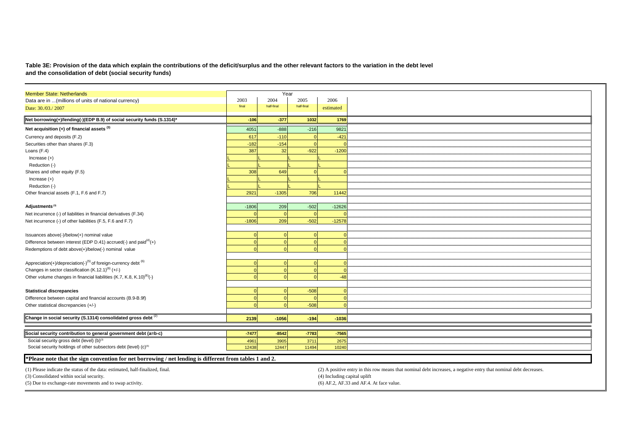#### **Table 3E: Provision of the data which explain the contributions of the deficit/surplus and the other relevant factors to the variation in the debt level and the consolidation of debt (social security funds)**

| <b>Member State: Netherlands</b>                                                                        |         | Year       |            |                                                                                                                   |
|---------------------------------------------------------------------------------------------------------|---------|------------|------------|-------------------------------------------------------------------------------------------------------------------|
| Data are in  (millions of units of national currency)                                                   | 2003    | 2004       | 2005       | 2006                                                                                                              |
| Date: 30./03./2007                                                                                      | final   | half-final | half-final | estimated                                                                                                         |
|                                                                                                         |         |            |            |                                                                                                                   |
| Net borrowing(+)/lending(-)(EDP B.9) of social security funds (S.1314)*                                 | $-106$  | $-377$     | 1032       | 1769                                                                                                              |
| Net acquisition $(+)$ of financial assets $(3)$                                                         | 4051    | $-888$     | $-216$     | 9821                                                                                                              |
| Currency and deposits (F.2)                                                                             | 617     | $-110$     |            | $-421$                                                                                                            |
| Securities other than shares (F.3)                                                                      | $-182$  | $-154$     |            |                                                                                                                   |
| Loans (F.4)                                                                                             | 387     | 32         | $-922$     | $-1200$                                                                                                           |
| Increase $(+)$                                                                                          |         |            |            |                                                                                                                   |
| Reduction (-)                                                                                           |         |            |            |                                                                                                                   |
| Shares and other equity (F.5)                                                                           | 308     | 649        |            |                                                                                                                   |
| Increase $(+)$                                                                                          |         |            |            |                                                                                                                   |
| Reduction (-)                                                                                           |         |            |            |                                                                                                                   |
| Other financial assets (F.1, F.6 and F.7)                                                               | 2921    | $-1305$    | 706        | 11442                                                                                                             |
|                                                                                                         |         |            |            |                                                                                                                   |
| Adjustments <sup>(3)</sup>                                                                              | $-1806$ | 209        | $-502$     | $-12626$                                                                                                          |
| Net incurrence (-) of liabilities in financial derivatives (F.34)                                       |         | $\sqrt{ }$ | $\Omega$   |                                                                                                                   |
| Net incurrence (-) of other liabilities (F.5, F.6 and F.7)                                              | $-1806$ | 209        | $-502$     | $-12578$                                                                                                          |
|                                                                                                         |         |            |            |                                                                                                                   |
| Issuances above(-)/below(+) nominal value                                                               |         | $\Omega$   |            |                                                                                                                   |
| Difference between interest (EDP D.41) accrued(-) and paid $(4)$ (+)                                    |         | $\Omega$   |            |                                                                                                                   |
| Redemptions of debt above(+)/below(-) nominal value                                                     |         | $\Omega$   |            |                                                                                                                   |
|                                                                                                         |         |            |            |                                                                                                                   |
| Appreciation(+)/depreciation(-) <sup>(5)</sup> of foreign-currency debt <sup>(6)</sup>                  |         |            |            |                                                                                                                   |
| Changes in sector classification (K.12.1) <sup>(6)</sup> (+/-)                                          |         | r          |            |                                                                                                                   |
| Other volume changes in financial liabilities (K.7, K.8, K.10) <sup>(6)</sup> (-)                       |         |            |            | $-48$                                                                                                             |
|                                                                                                         |         |            |            |                                                                                                                   |
| <b>Statistical discrepancies</b>                                                                        |         | $\Omega$   | $-508$     |                                                                                                                   |
| Difference between capital and financial accounts (B.9-B.9f)                                            |         |            |            |                                                                                                                   |
| Other statistical discrepancies (+/-)                                                                   |         |            | $-508$     |                                                                                                                   |
|                                                                                                         |         |            |            |                                                                                                                   |
| Change in social security (S.1314) consolidated gross debt (2)                                          | 2139    | $-1056$    | $-194$     | $-1036$                                                                                                           |
|                                                                                                         |         |            |            |                                                                                                                   |
| Social security contribution to general government debt (a=b-c)                                         | $-7477$ | $-8542$    | $-7783$    | $-7565$                                                                                                           |
| Social security gross debt (level) (b) <sup>(3)</sup>                                                   | 4961    | 3905       | 3711       | 2675                                                                                                              |
| Social security holdings of other subsectors debt (level) (c) <sup>(6)</sup>                            | 12438   | 12447      | 11494      | 10240                                                                                                             |
|                                                                                                         |         |            |            |                                                                                                                   |
| *Please note that the sign convention for net borrowing / net lending is different from tables 1 and 2. |         |            |            |                                                                                                                   |
| (1) Please indicate the status of the data: estimated, half-finalized, final.                           |         |            |            | (2) A positive entry in this row means that nominal debt increases, a negative entry that nominal debt decreases. |
| (3) Consolidated within social security.                                                                |         |            |            | (4) Including capital uplift                                                                                      |
| (5) Due to exchange-rate movements and to swap activity.                                                |         |            |            | (6) AF.2, AF.33 and AF.4. At face value.                                                                          |
|                                                                                                         |         |            |            |                                                                                                                   |